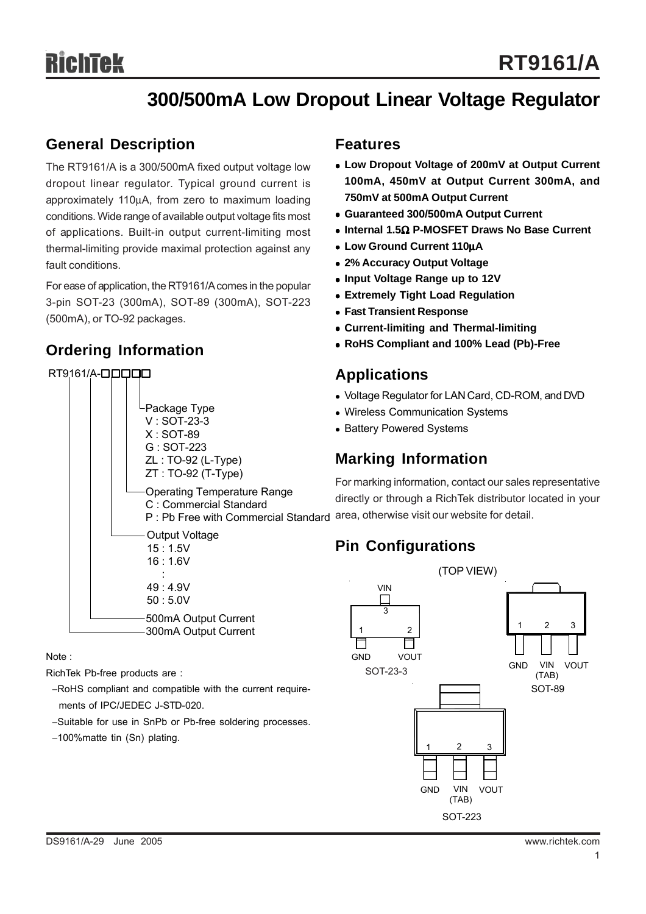# **300/500mA Low Dropout Linear Voltage Regulator**

#### **General Description**

The RT9161/A is a 300/500mA fixed output voltage low dropout linear regulator. Typical ground current is approximately 110μA, from zero to maximum loading conditions. Wide range of available output voltage fits most of applications. Built-in output current-limiting most thermal-limiting provide maximal protection against any fault conditions.

For ease of application, the RT9161/A comes in the popular 3-pin SOT-23 (300mA), SOT-89 (300mA), SOT-223 (500mA), or TO-92 packages.

#### **Ordering Information**

#### Output Voltage 15 : 1.5V 16 : 1.6V : 49 : 4.9V 50 : 5.0V RT9161/A-**QOQQO** Package Type V : SOT-23-3 X : SOT-89 G : SOT-223 ZL : TO-92 (L-Type) ZT : TO-92 (T-Type) Operating Temperature Range C : Commercial Standard P : Pb Free with Commercial Standard 500mA Output Current 300mA Output Current

Note :

RichTek Pb-free products are :

- −RoHS compliant and compatible with the current require ments of IPC/JEDEC J-STD-020.
- −Suitable for use in SnPb or Pb-free soldering processes.
- −100%matte tin (Sn) plating.

#### **Features**

- Low Dropout Voltage of 200mV at Output Current **100mA, 450mV at Output Current 300mA, and 750mV at 500mA Output Current**
- <sup>z</sup> **Guaranteed 300/500mA Output Current**
- $\bullet$  **Internal 1.5Ω P-MOSFET Draws No Base Current**
- <sup>z</sup> **Low Ground Current 110**μ**A**
- <sup>z</sup> **2% Accuracy Output Voltage**
- Input Voltage Range up to 12V
- **Extremely Tight Load Regulation**
- **Fast Transient Response**
- <sup>z</sup> **Current-limiting and Thermal-limiting**
- <sup>z</sup> **RoHS Compliant and 100% Lead (Pb)-Free**

### **Applications**

- Voltage Regulator for LAN Card, CD-ROM, and DVD
- Wireless Communication Systems
- Battery Powered Systems

### **Marking Information**

For marking information, contact our sales representative directly or through a RichTek distributor located in your area, otherwise visit our website for detail.

# **Pin Configurations**

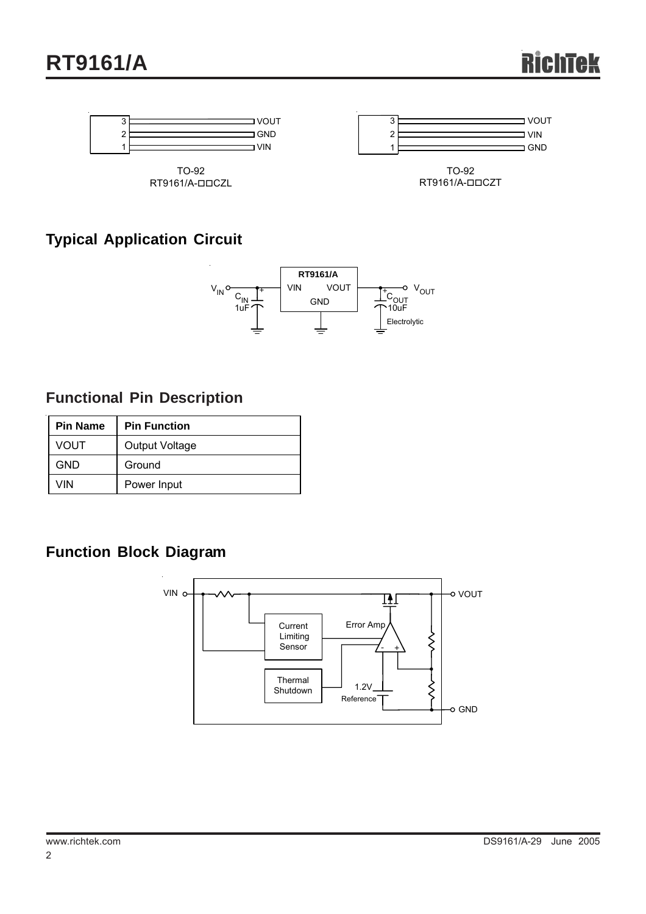

## **Typical Application Circuit**



### **Functional Pin Description**

| <b>Pin Name</b> | <b>Pin Function</b> |  |
|-----------------|---------------------|--|
| <b>VOUT</b>     | Output Voltage      |  |
| GND             | Ground              |  |
| VIN             | Power Input         |  |

### **Function Block Diagram**

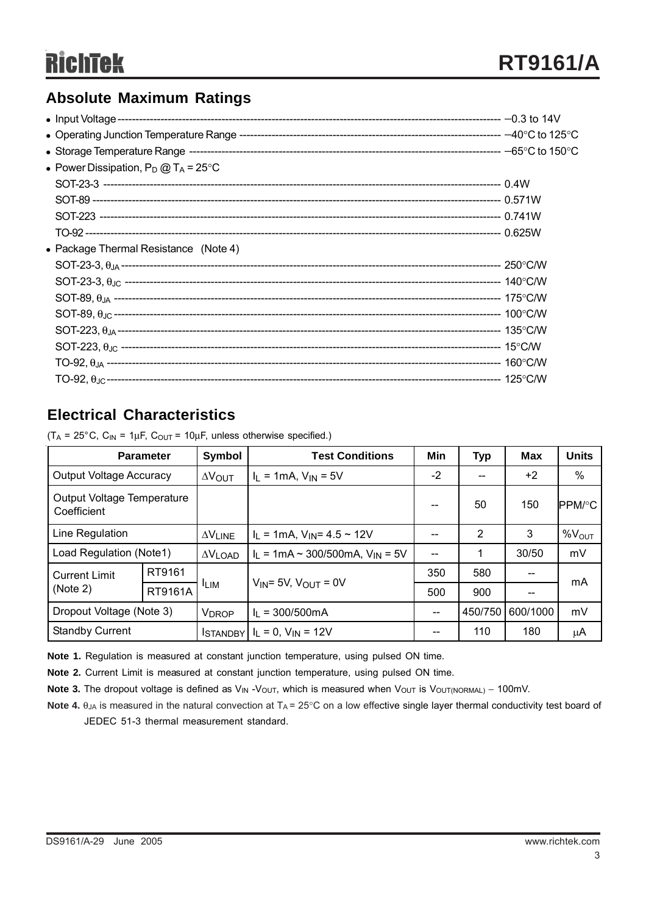### **Absolute Maximum Ratings**

| • Power Dissipation, $P_D @ T_A = 25^{\circ}C$ |  |
|------------------------------------------------|--|
|                                                |  |
|                                                |  |
|                                                |  |
|                                                |  |
| • Package Thermal Resistance (Note 4)          |  |
|                                                |  |
|                                                |  |
|                                                |  |
|                                                |  |
|                                                |  |
|                                                |  |
|                                                |  |
|                                                |  |
|                                                |  |

#### **Electrical Characteristics**

|                                                                                           | <b>Parameter</b> | $\vert$ Symbol $\vert$ |  |  |  |
|-------------------------------------------------------------------------------------------|------------------|------------------------|--|--|--|
| $(T_A = 25^{\circ}C, C_{IN} = 1 \mu F, C_{OUT} = 10 \mu F$ , unless otherwise specified.) |                  |                        |  |  |  |

|                                                                            | <b>Parameter</b> | Symbol                                | <b>Test Conditions</b>                     | Min      | <b>Typ</b> | <b>Max</b> | <b>Units</b>       |
|----------------------------------------------------------------------------|------------------|---------------------------------------|--------------------------------------------|----------|------------|------------|--------------------|
| <b>Output Voltage Accuracy</b>                                             |                  | $\Delta V_{\text{OUT}}$               | $I_L = 1mA, V_{IN} = 5V$                   | $-2$     | --         | +2         | %                  |
| Output Voltage Temperature<br>Coefficient                                  |                  |                                       |                                            |          | 50         | 150        | IPPM/°C            |
| Line Regulation                                                            |                  | $\Delta V$ LINE                       | $I_L$ = 1mA, $V_{IN}$ = 4.5 ~ 12V          |          | 2          | 3          | $\%V_{\text{OUT}}$ |
| Load Regulation (Note1)                                                    |                  | $\Delta V$ LOAD                       | $I_L = 1mA \sim 300/500mA$ , $V_{IN} = 5V$ |          |            | 30/50      | mV                 |
| <b>Current Limit</b>                                                       | RT9161           |                                       | $V_{IN}$ = 5V, $V_{OUT}$ = 0V              | 350      | 580        | --         | mA                 |
| (Note 2)                                                                   | RT9161A          | <sup>I</sup> LIM                      |                                            | 500      | 900        |            |                    |
| Dropout Voltage (Note 3)<br>$I_1 = 300/500 \text{mA}$<br>V <sub>DROP</sub> |                  | $\hspace{0.05cm}$ – $\hspace{0.05cm}$ | 450/750                                    | 600/1000 | mV         |            |                    |
| <b>Standby Current</b>                                                     |                  | <b>ISTANDBY</b>                       | $I_L = 0$ , $V_{IN} = 12V$                 | --       | 110        | 180        | μA                 |

**Note 1.** Regulation is measured at constant junction temperature, using pulsed ON time.

**Note 2.** Current Limit is measured at constant junction temperature, using pulsed ON time.

Note 3. The dropout voltage is defined as V<sub>IN</sub> -V<sub>OUT</sub>, which is measured when V<sub>OUT</sub> is V<sub>OUT(NORMAL)</sub> – 100mV.

Note 4. θ<sub>JA</sub> is measured in the natural convection at T<sub>A</sub> = 25°C on a low effective single layer thermal conductivity test board of JEDEC 51-3 thermal measurement standard.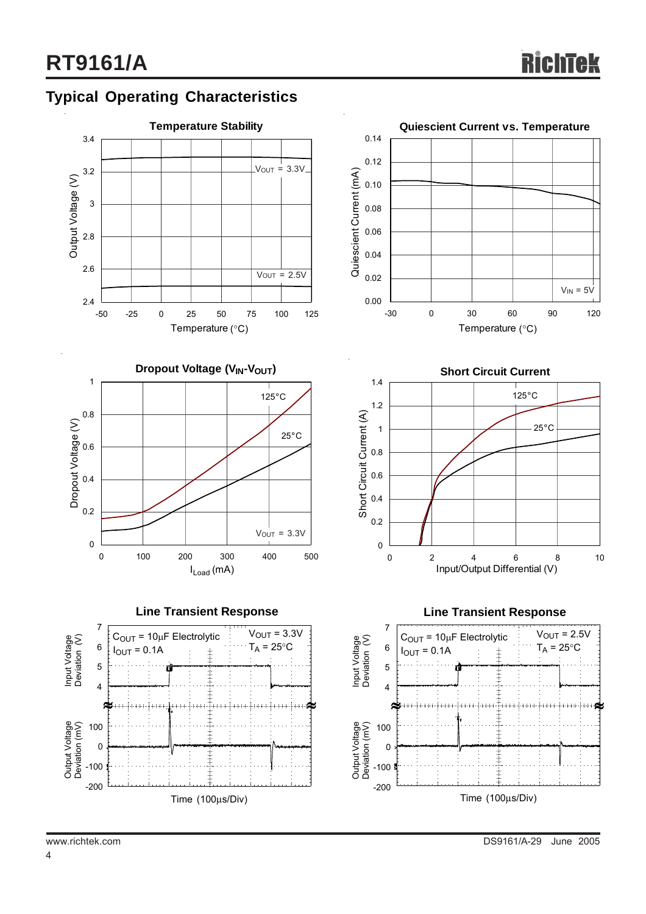### **Typical Operating Characteristics**

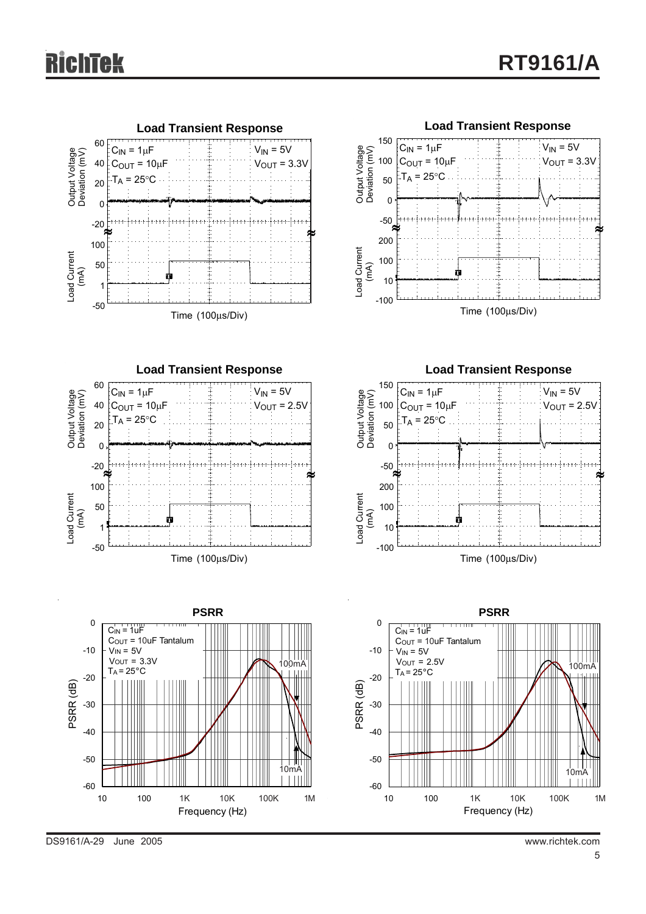

DS9161/A-29 June 2005 www.richtek.com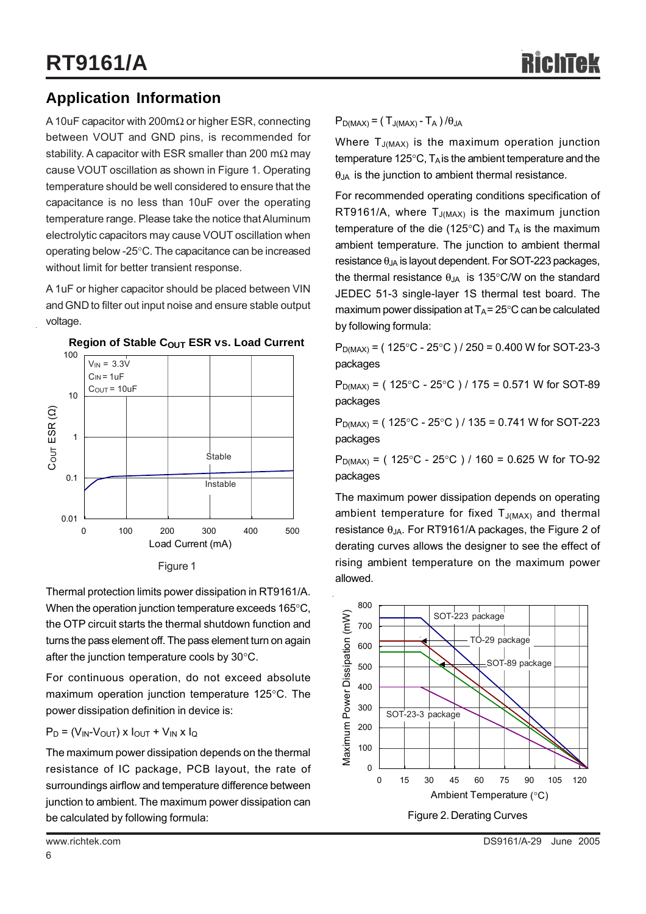### **Application Information**

A 10uF capacitor with 200mΩ or higher ESR, connecting between VOUT and GND pins, is recommended for stability. A capacitor with ESR smaller than 200 m $\Omega$  may cause VOUT oscillation as shown in Figure 1. Operating temperature should be well considered to ensure that the capacitance is no less than 10uF over the operating temperature range. Please take the notice that Aluminum electrolytic capacitors may cause VOUT oscillation when operating below -25°C. The capacitance can be increased without limit for better transient response.

A 1uF or higher capacitor should be placed between VIN and GND to filter out input noise and ensure stable output voltage.



#### **Region of Stable COUT ESR vs. Load Current**

Thermal protection limits power dissipation in RT9161/A. When the operation junction temperature exceeds 165°C, the OTP circuit starts the thermal shutdown function and turns the pass element off. The pass element turn on again after the junction temperature cools by 30°C.

For continuous operation, do not exceed absolute maximum operation junction temperature 125°C. The power dissipation definition in device is:

#### $P_D = (V_{IN} - V_{OUT}) \times I_{OUT} + V_{IN} \times I_{Q}$

The maximum power dissipation depends on the thermal resistance of IC package, PCB layout, the rate of surroundings airflow and temperature difference between junction to ambient. The maximum power dissipation can be calculated by following formula:

Where  $T_{J(MAX)}$  is the maximum operation junction temperature 125 $\mathrm{^{\circ}C}$ , T<sub>A</sub> is the ambient temperature and the  $\theta_{JA}$  is the junction to ambient thermal resistance.

For recommended operating conditions specification of RT9161/A, where  $T_{J(MAX)}$  is the maximum junction temperature of the die (125 $\degree$ C) and T<sub>A</sub> is the maximum ambient temperature. The junction to ambient thermal resistance  $\theta_{JA}$  is layout dependent. For SOT-223 packages, the thermal resistance  $\theta_{JA}$  is 135°C/W on the standard JEDEC 51-3 single-layer 1S thermal test board. The maximum power dissipation at  $T_A = 25^\circ \text{C}$  can be calculated by following formula:

 $P_{D(MAX)} = (125\degree C - 25\degree C) / 250 = 0.400$  W for SOT-23-3 packages

 $P_{D(MAX)} = (125^{\circ}C - 25^{\circ}C) / 175 = 0.571 W$  for SOT-89 packages

 $P_{D(MAX)} = (125^{\circ}C - 25^{\circ}C) / 135 = 0.741$  W for SOT-223 packages

 $P_{D(MAX)} = (125^{\circ}C - 25^{\circ}C) / 160 = 0.625 W$  for TO-92 packages

The maximum power dissipation depends on operating ambient temperature for fixed  $T_{J(MAX)}$  and thermal resistance  $\theta_{JA}$ . For RT9161/A packages, the Figure 2 of derating curves allows the designer to see the effect of rising ambient temperature on the maximum power allowed.

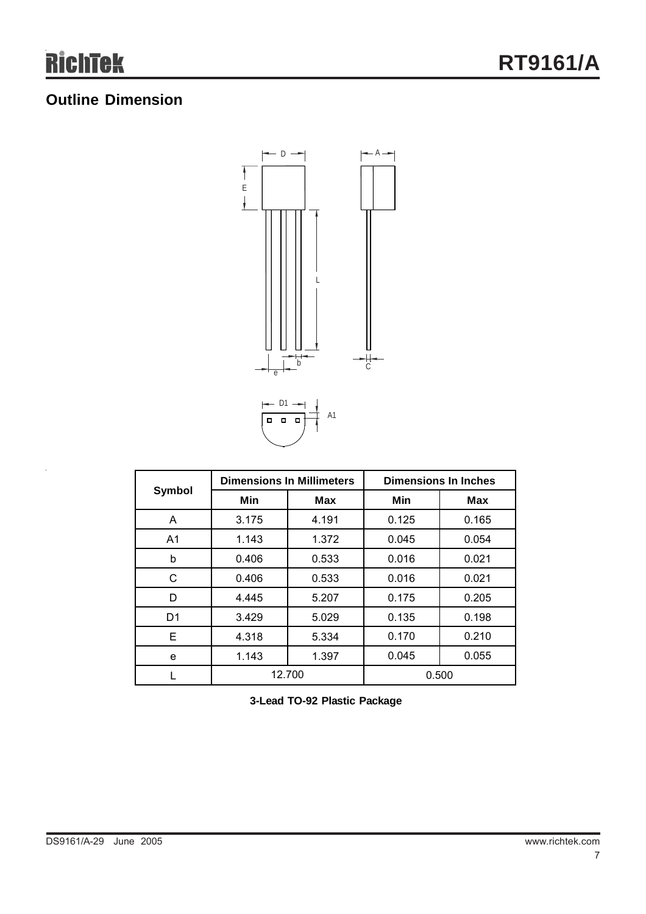## **Outline Dimension**



| Symbol         | <b>Dimensions In Millimeters</b> |       | <b>Dimensions In Inches</b> |       |  |
|----------------|----------------------------------|-------|-----------------------------|-------|--|
|                | Min                              | Max   | Min                         | Max   |  |
| A              | 3.175                            | 4.191 | 0.125                       | 0.165 |  |
| A <sub>1</sub> | 1.143                            | 1.372 | 0.045                       | 0.054 |  |
| b              | 0.406                            | 0.533 | 0.016                       | 0.021 |  |
| С              | 0.406                            | 0.533 | 0.016                       | 0.021 |  |
| D              | 4.445                            | 5.207 | 0.175                       | 0.205 |  |
| D1             | 3.429                            | 5.029 | 0.135                       | 0.198 |  |
| Е              | 4.318                            | 5.334 | 0.170                       | 0.210 |  |
| e              | 1.143                            | 1.397 | 0.045                       | 0.055 |  |
|                | 12.700                           |       | 0.500                       |       |  |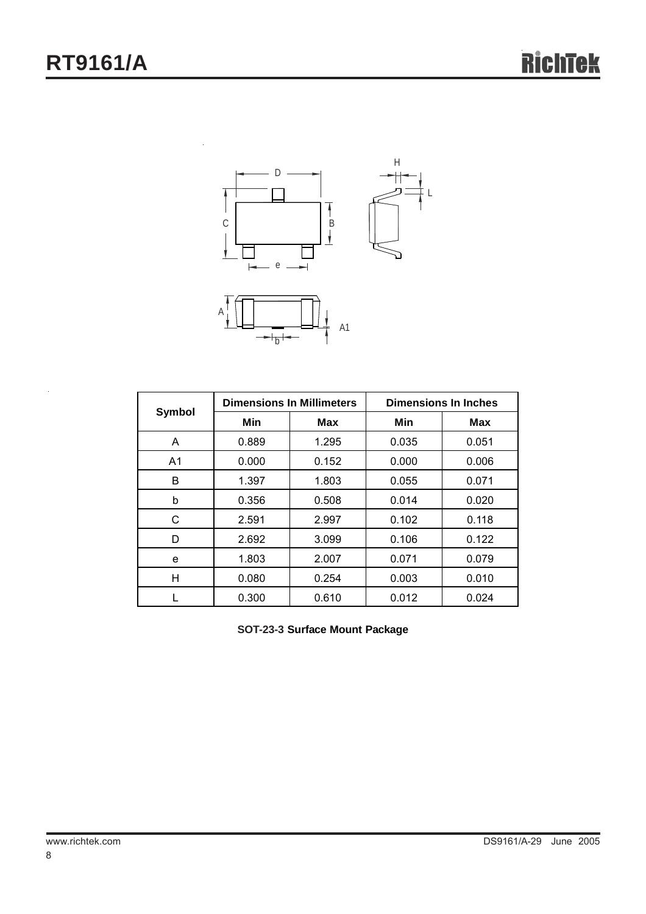

| Symbol         | <b>Dimensions In Millimeters</b> |       | <b>Dimensions In Inches</b> |            |  |
|----------------|----------------------------------|-------|-----------------------------|------------|--|
|                | Min                              | Max   | Min                         | <b>Max</b> |  |
| A              | 0.889                            | 1.295 | 0.035                       | 0.051      |  |
| A <sub>1</sub> | 0.000                            | 0.152 | 0.000                       | 0.006      |  |
| B              | 1.397                            | 1.803 | 0.055                       | 0.071      |  |
| b              | 0.356                            | 0.508 | 0.014                       | 0.020      |  |
| С              | 2.591                            | 2.997 | 0.102                       | 0.118      |  |
| D              | 2.692                            | 3.099 | 0.106                       | 0.122      |  |
| e              | 1.803                            | 2.007 | 0.071                       | 0.079      |  |
| H              | 0.080                            | 0.254 | 0.003                       | 0.010      |  |
|                | 0.300                            | 0.610 | 0.012                       | 0.024      |  |

**SOT-23-3 Surface Mount Package**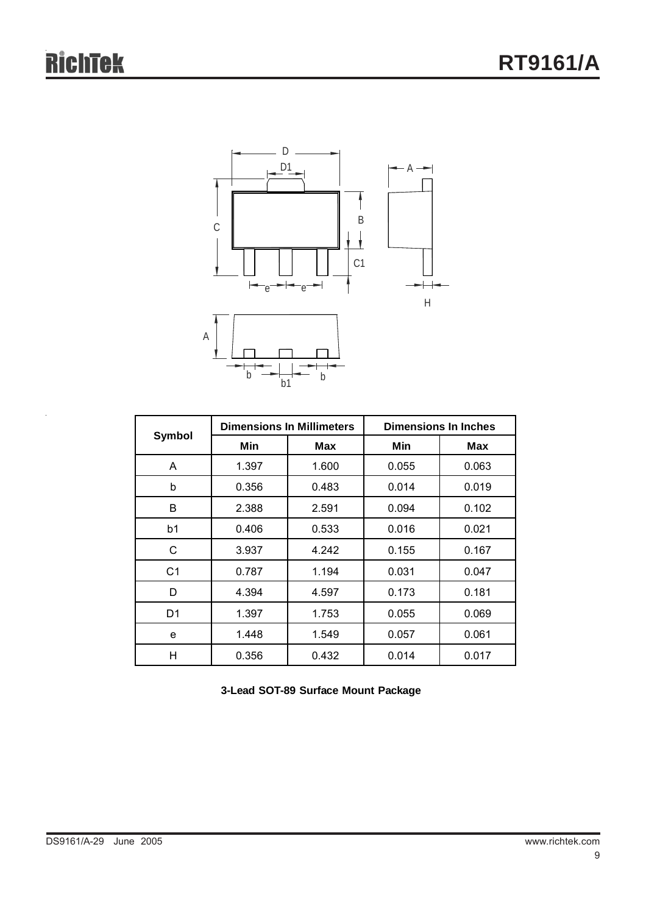

| Symbol         | <b>Dimensions In Millimeters</b> |            | <b>Dimensions In Inches</b> |            |  |
|----------------|----------------------------------|------------|-----------------------------|------------|--|
|                | Min                              | <b>Max</b> | Min                         | <b>Max</b> |  |
| A              | 1.397                            | 1.600      | 0.055                       | 0.063      |  |
| b              | 0.356                            | 0.483      | 0.014                       | 0.019      |  |
| B              | 2.388                            | 2.591      | 0.094                       | 0.102      |  |
| b1             | 0.406                            | 0.533      | 0.016                       | 0.021      |  |
| C              | 3.937                            | 4.242      | 0.155                       | 0.167      |  |
| C <sub>1</sub> | 0.787                            | 1.194      | 0.031                       | 0.047      |  |
| D              | 4.394                            | 4.597      | 0.173                       | 0.181      |  |
| D <sub>1</sub> | 1.397                            | 1.753      | 0.055                       | 0.069      |  |
| e              | 1.448                            | 1.549      | 0.057                       | 0.061      |  |
| Н              | 0.356                            | 0.432      | 0.014                       | 0.017      |  |

**3-Lead SOT-89 Surface Mount Package**